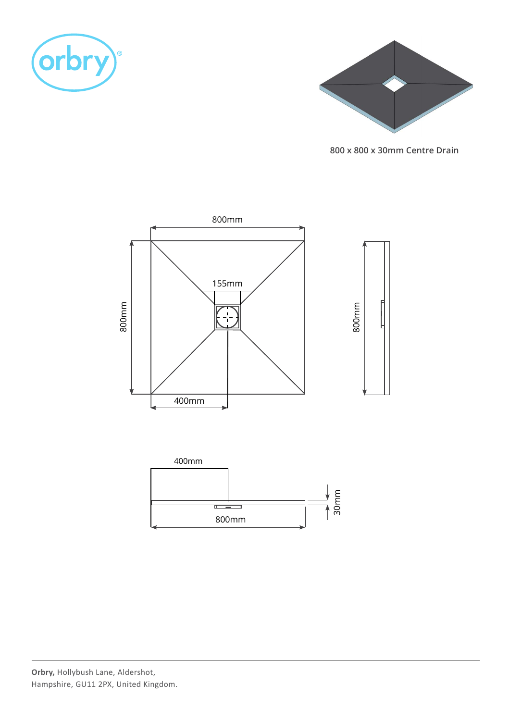



**800 x 800 x 30mm Centre Drain**

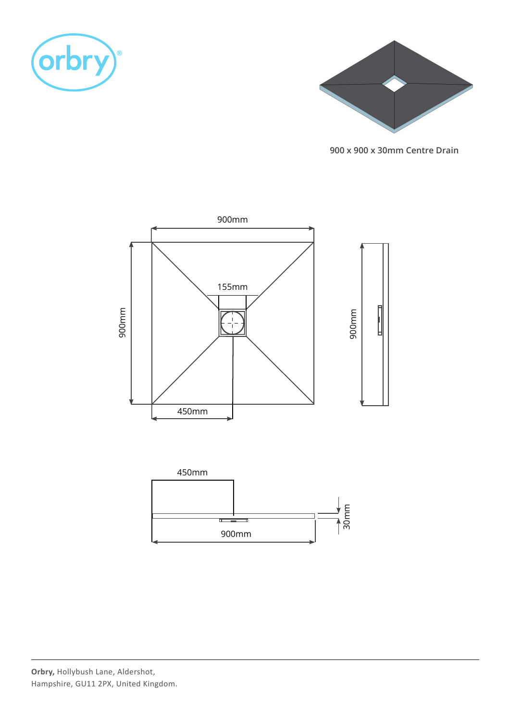



**900 x 900 x 30mm Centre Drain**

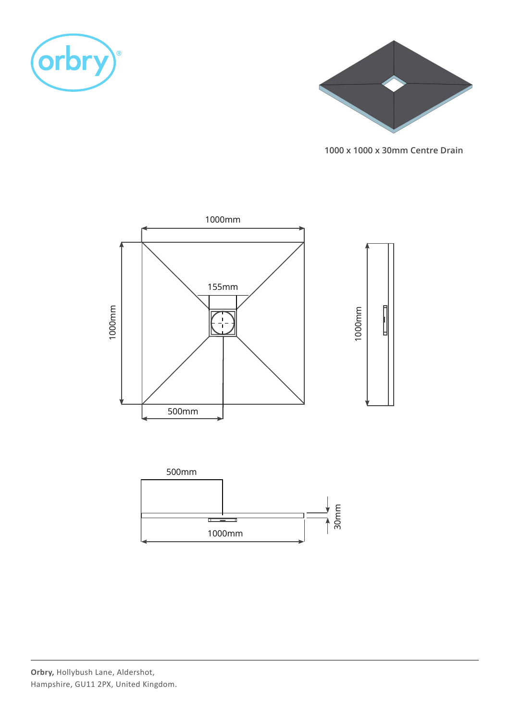



**1000 x 1000 x 30mm Centre Drain**

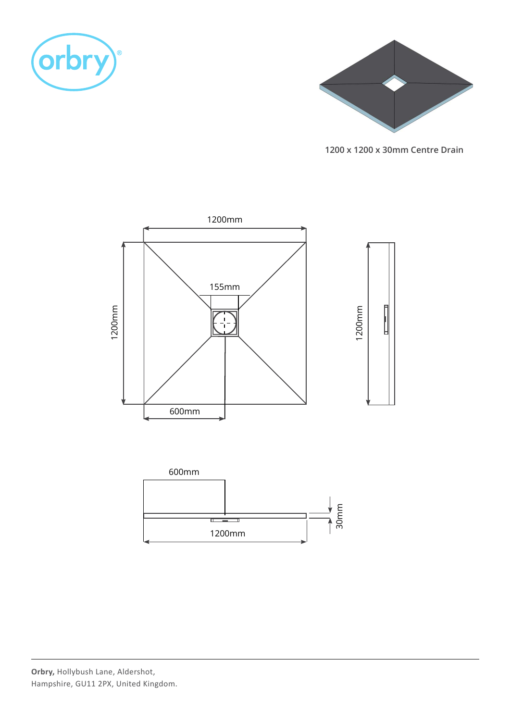



**1200 x 1200 x 30mm Centre Drain**

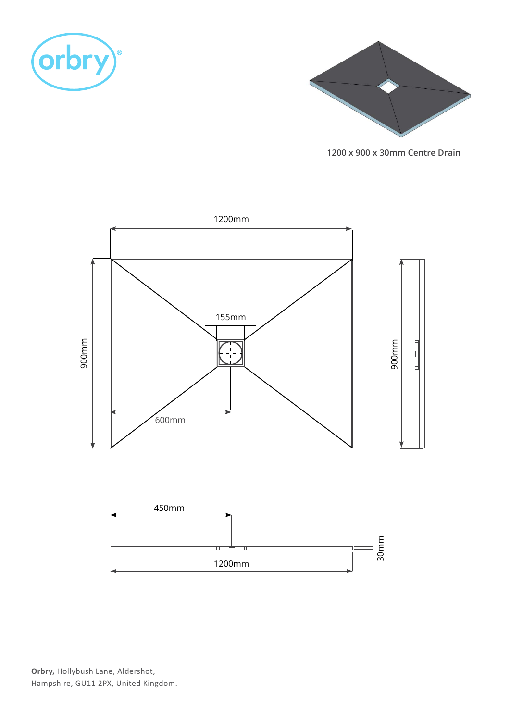



**1200 x 900 x 30mm Centre Drain**

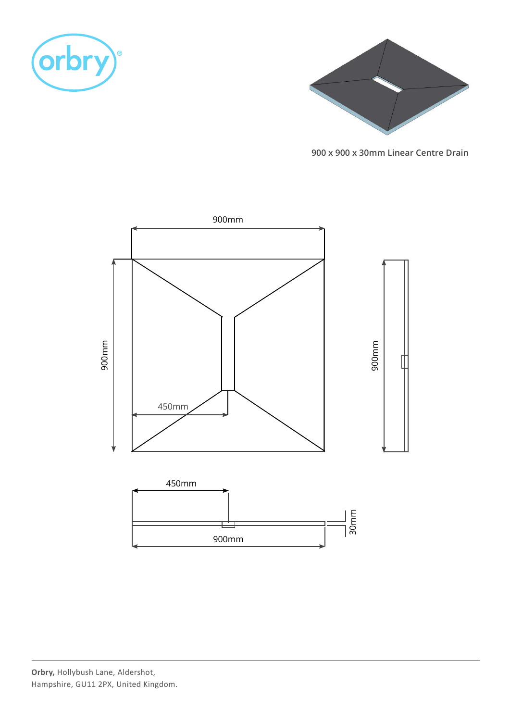



**900 x 900 x 30mm Linear Centre Drain**

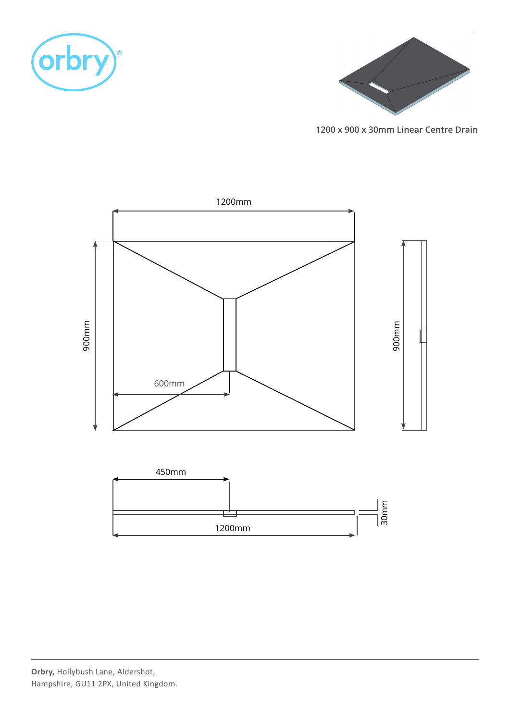



**1200 x 900 x 30mm Linear Centre Drain**

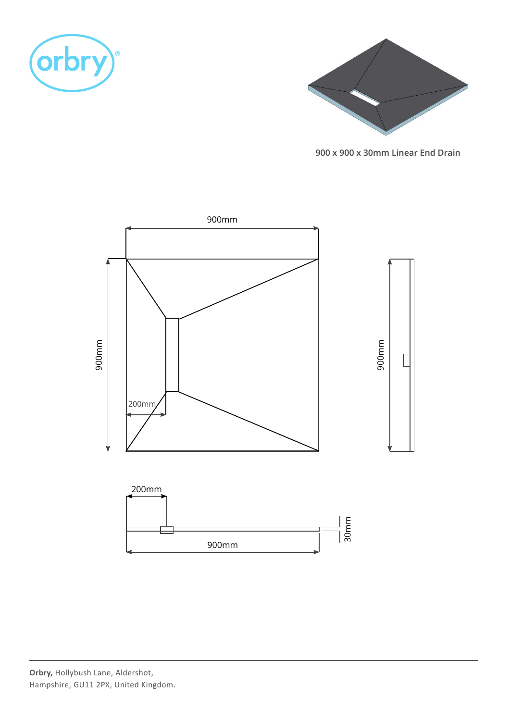



**900 x 900 x 30mm Linear End Drain**

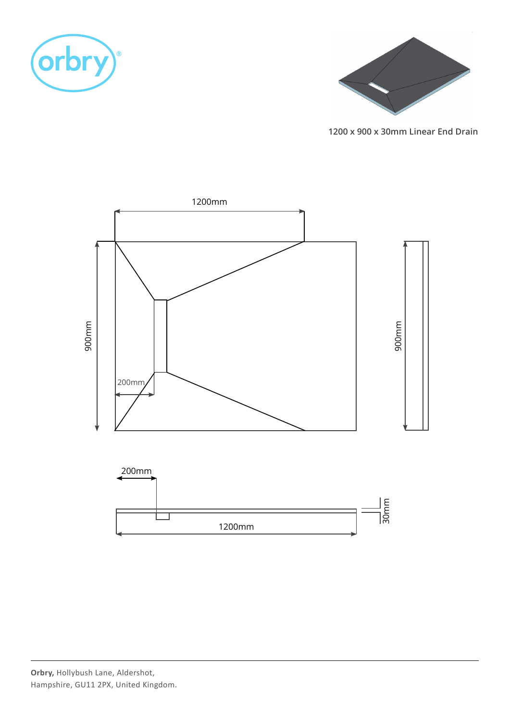



**1200 x 900 x 30mm Linear End Drain**

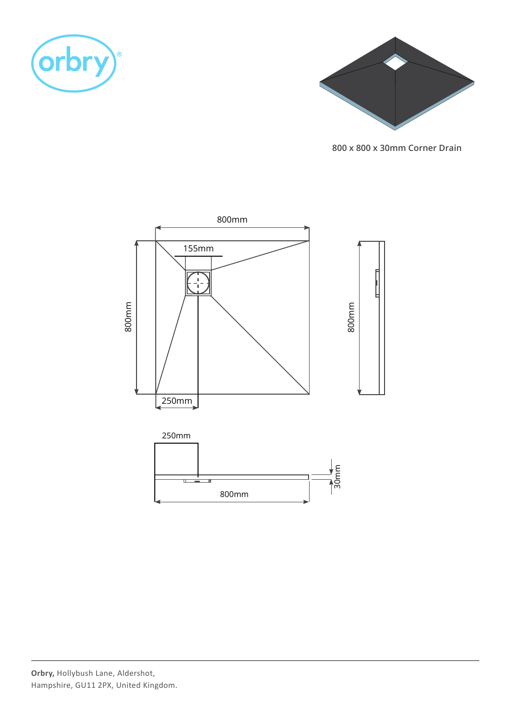



**800 x 800 x 30mm Corner Drain**

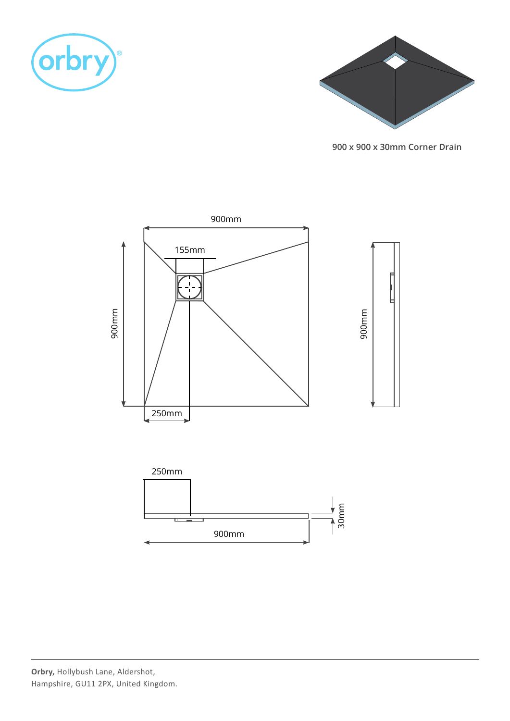



**900 x 900 x 30mm Corner Drain**

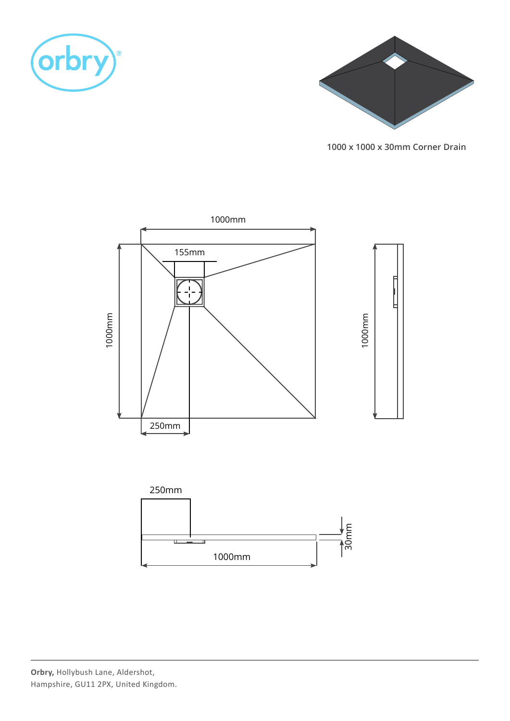



**1000 x 1000 x 30mm Corner Drain**

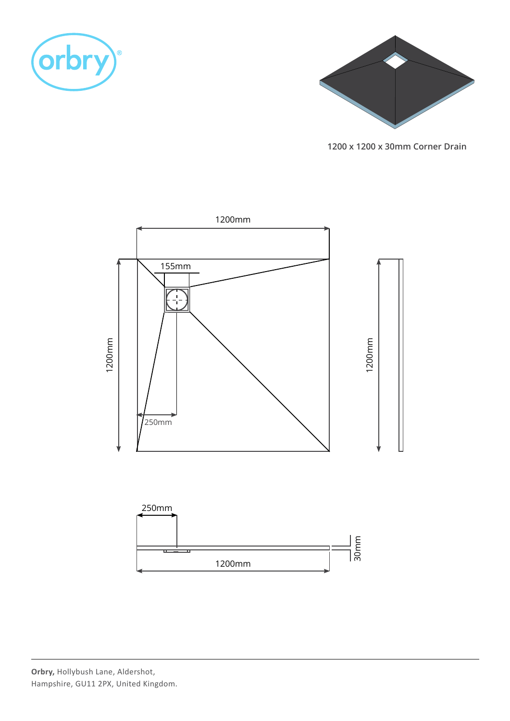



**1200 x 1200 x 30mm Corner Drain**

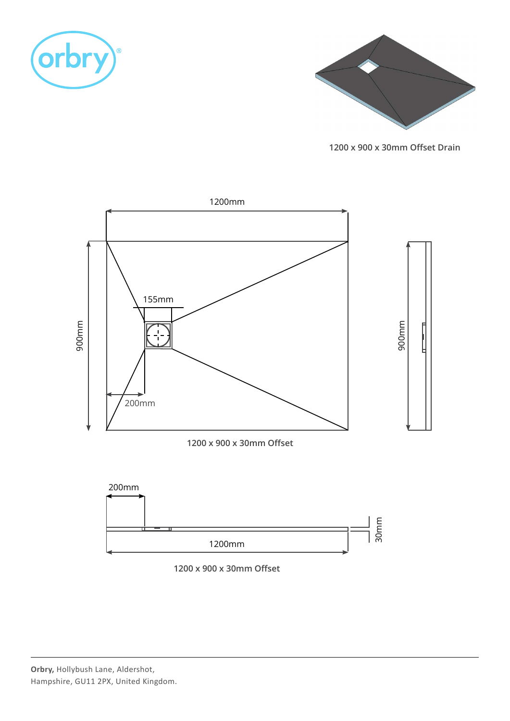



**1200 x 900 x 30mm Ofset Drain**